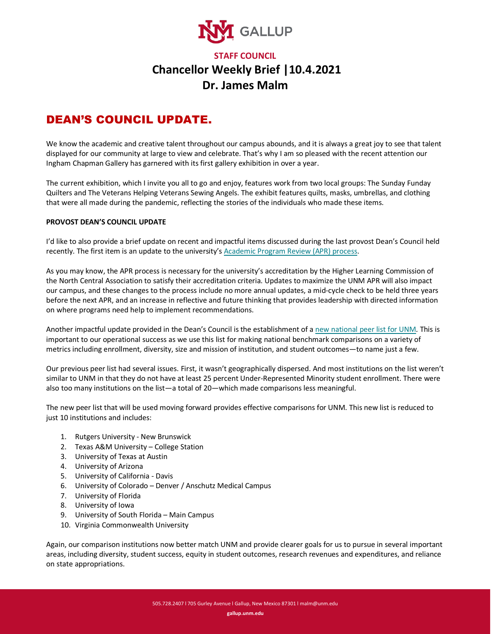

## **STAFF COUNCIL Chancellor Weekly Brief |10.4.2021 Dr. James Malm**

## DEAN'S COUNCIL UPDATE.

We know the academic and creative talent throughout our campus abounds, and it is always a great joy to see that talent displayed for our community at large to view and celebrate. That's why I am so pleased with the recent attention our Ingham Chapman Gallery has garnered with its first gallery exhibition in over a year.

The current exhibition, which I invite you all to go and enjoy, features work from two local groups: The Sunday Funday Quilters and The Veterans Helping Veterans Sewing Angels. The exhibit features quilts, masks, umbrellas, and clothing that were all made during the pandemic, reflecting the stories of the individuals who made these items.

## **PROVOST DEAN'S COUNCIL UPDATE**

I'd like to also provide a brief update on recent and impactful items discussed during the last provost Dean's Council held recently. The first item is an update to the university'[s Academic Program Review \(APR\) process.](https://gallup.unm.edu/assets/pdf/academic-program-review-mid-cycle-final.pdf)

As you may know, the APR process is necessary for the university's accreditation by the Higher Learning Commission of the North Central Association to satisfy their accreditation criteria. Updates to maximize the UNM APR will also impact our campus, and these changes to the process include no more annual updates, a mid-cycle check to be held three years before the next APR, and an increase in reflective and future thinking that provides leadership with directed information on where programs need help to implement recommendations.

Another impactful update provided in the Dean's Council is the establishment of a [new national peer list for UNM.](https://gallup.unm.edu/assets/pdf/deans-council-peer-list.pdf) This is important to our operational success as we use this list for making national benchmark comparisons on a variety of metrics including enrollment, diversity, size and mission of institution, and student outcomes—to name just a few.

Our previous peer list had several issues. First, it wasn't geographically dispersed. And most institutions on the list weren't similar to UNM in that they do not have at least 25 percent Under-Represented Minority student enrollment. There were also too many institutions on the list—a total of 20—which made comparisons less meaningful.

The new peer list that will be used moving forward provides effective comparisons for UNM. This new list is reduced to just 10 institutions and includes:

- 1. Rutgers University New Brunswick
- 2. Texas A&M University College Station
- 3. University of Texas at Austin
- 4. University of Arizona
- 5. University of California Davis
- 6. University of Colorado Denver / Anschutz Medical Campus
- 7. University of Florida
- 8. University of Iowa
- 9. University of South Florida Main Campus
- 10. Virginia Commonwealth University

Again, our comparison institutions now better match UNM and provide clearer goals for us to pursue in several important areas, including diversity, student success, equity in student outcomes, research revenues and expenditures, and reliance on state appropriations.